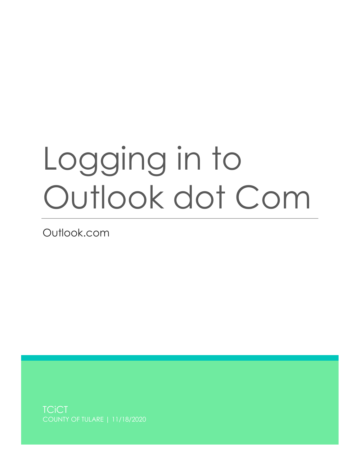## Logging in to Outlook dot Com

Outlook.com

**TCiCT**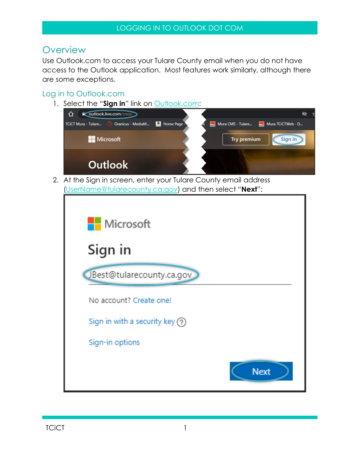## **Overview**

Use Outlook.com to access your Tulare County email when you do not have access to the Outlook application. Most features work similarly, although there are some exceptions.

## Log in to Outlook.com

1. Select the "Sign in" link on **Outlook.com**:



2. At the Sign in screen, enter your Tulare County email address [\(UserName@tularecounty.ca.gov\)](mailto:UserName@tularecounty.ca.gov) and then select "**Next**":

| UserName@tularecounty.ca.gov) and then select "Next": |
|-------------------------------------------------------|
| <b>Nicrosoft</b>                                      |
| Sign in                                               |
| JBest@tularecounty.ca.gov                             |
| No account? Create one!                               |
| Sign in with a security key $\binom{2}{2}$            |
| Sign-in options                                       |
| <b>Next</b>                                           |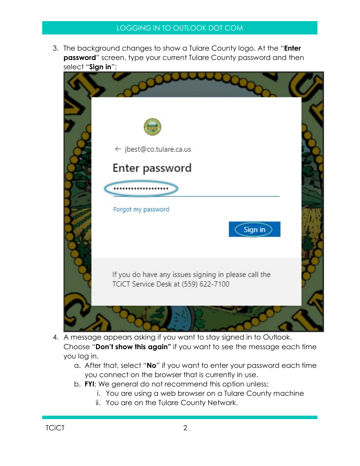3. The background changes to show a Tulare County logo. At the "**Enter password**" screen, type your current Tulare County password and then select "**Sign in**":



- 4. A message appears asking if you want to stay signed in to Outlook. Choose "**Don't show this again"** if you want to see the message each time you log in.
	- a. After that, select "**No**" if you want to enter your password each time you connect on the browser that is currently in use.
	- b. **FYI**: We general do not recommend this option unless:
		- i. You are using a web browser on a Tulare County machine
		- ii. You are on the Tulare County Network.